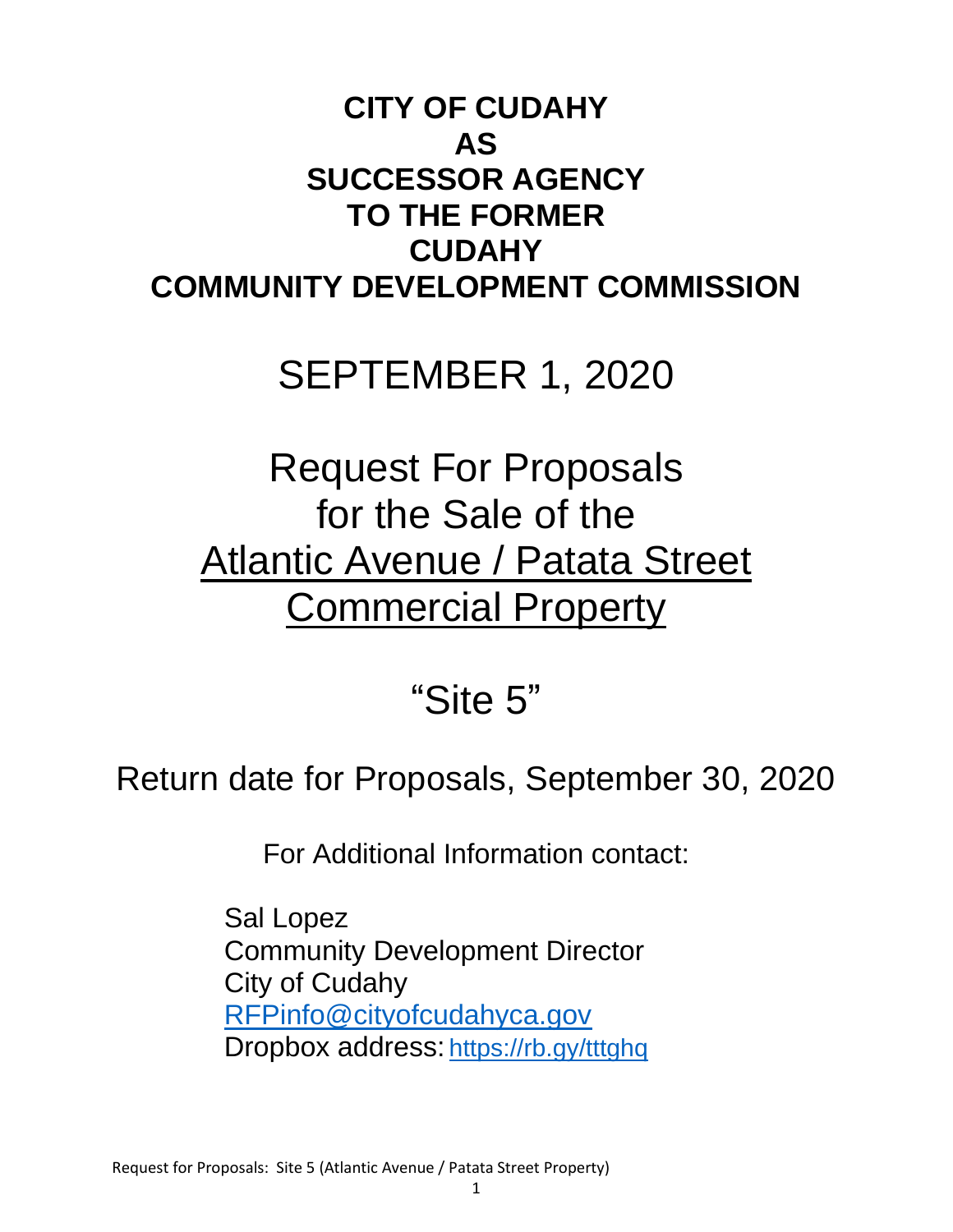# **CITY OF CUDAHY AS SUCCESSOR AGENCY TO THE FORMER CUDAHY COMMUNITY DEVELOPMENT COMMISSION**

# SEPTEMBER 1, 2020

# Request For Proposals for the Sale of the Atlantic Avenue / Patata Street **Commercial Property**

# "Site 5"

# Return date for Proposals, September 30, 2020

For Additional Information contact:

Sal Lopez Community Development Director City of Cudahy [RFPinfo@cityofcudahyca.gov](mailto:RFPinfo@cityofcudahyca.gov) Dropbox address: <https://rb.gy/tttghq>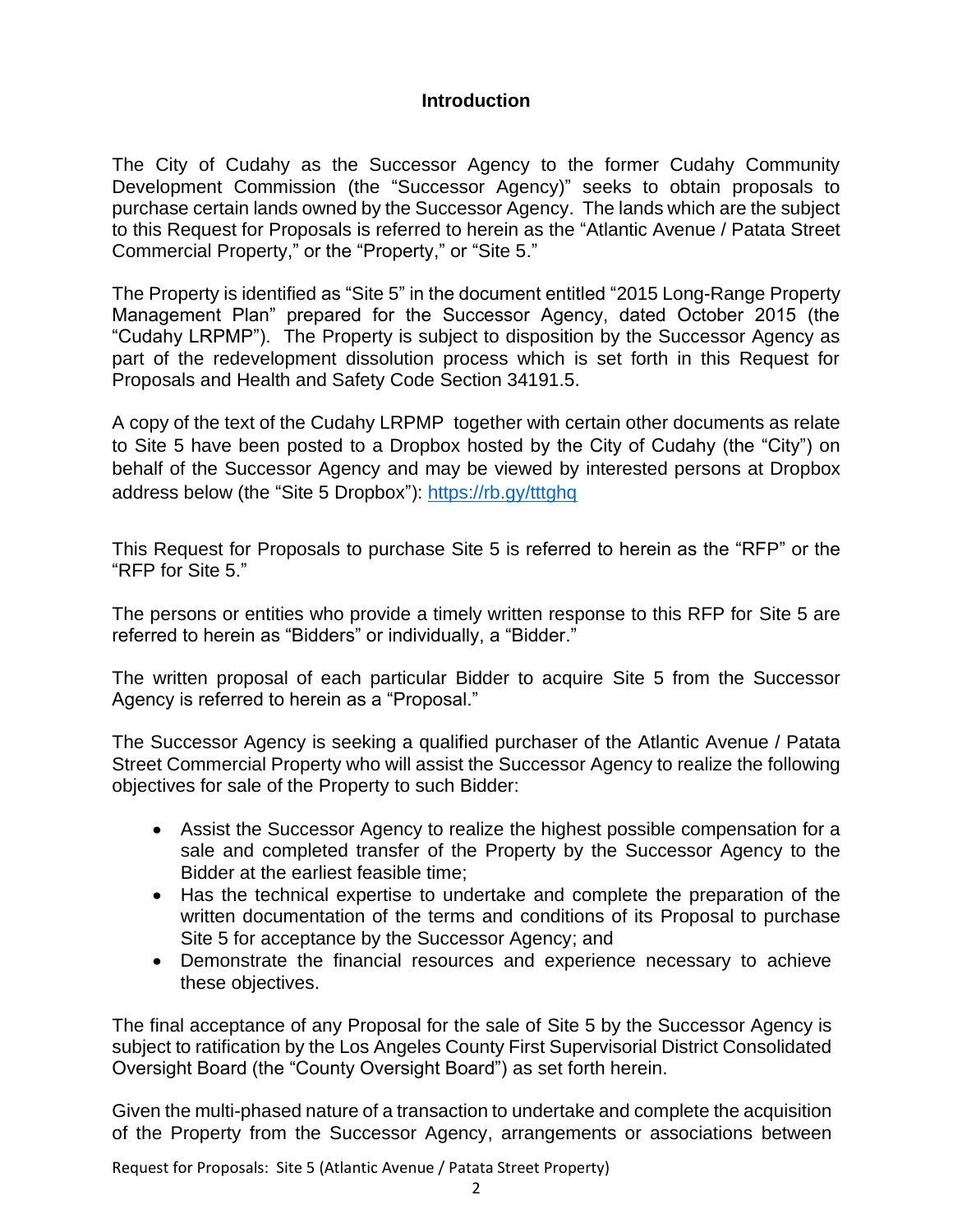## **Introduction**

The City of Cudahy as the Successor Agency to the former Cudahy Community Development Commission (the "Successor Agency)" seeks to obtain proposals to purchase certain lands owned by the Successor Agency. The lands which are the subject to this Request for Proposals is referred to herein as the "Atlantic Avenue / Patata Street Commercial Property," or the "Property," or "Site 5."

The Property is identified as "Site 5" in the document entitled "2015 Long-Range Property Management Plan" prepared for the Successor Agency, dated October 2015 (the "Cudahy LRPMP"). The Property is subject to disposition by the Successor Agency as part of the redevelopment dissolution process which is set forth in this Request for Proposals and Health and Safety Code Section 34191.5.

A copy of the text of the Cudahy LRPMP together with certain other documents as relate to Site 5 have been posted to a Dropbox hosted by the City of Cudahy (the "City") on behalf of the Successor Agency and may be viewed by interested persons at Dropbox address below (the "Site 5 Dropbox"):<https://rb.gy/tttghq>

This Request for Proposals to purchase Site 5 is referred to herein as the "RFP" or the "RFP for Site 5."

The persons or entities who provide a timely written response to this RFP for Site 5 are referred to herein as "Bidders" or individually, a "Bidder."

The written proposal of each particular Bidder to acquire Site 5 from the Successor Agency is referred to herein as a "Proposal."

The Successor Agency is seeking a qualified purchaser of the Atlantic Avenue / Patata Street Commercial Property who will assist the Successor Agency to realize the following objectives for sale of the Property to such Bidder:

- Assist the Successor Agency to realize the highest possible compensation for a sale and completed transfer of the Property by the Successor Agency to the Bidder at the earliest feasible time;
- Has the technical expertise to undertake and complete the preparation of the written documentation of the terms and conditions of its Proposal to purchase Site 5 for acceptance by the Successor Agency; and
- Demonstrate the financial resources and experience necessary to achieve these objectives.

The final acceptance of any Proposal for the sale of Site 5 by the Successor Agency is subject to ratification by the Los Angeles County First Supervisorial District Consolidated Oversight Board (the "County Oversight Board") as set forth herein.

Given the multi-phased nature of a transaction to undertake and complete the acquisition of the Property from the Successor Agency, arrangements or associations between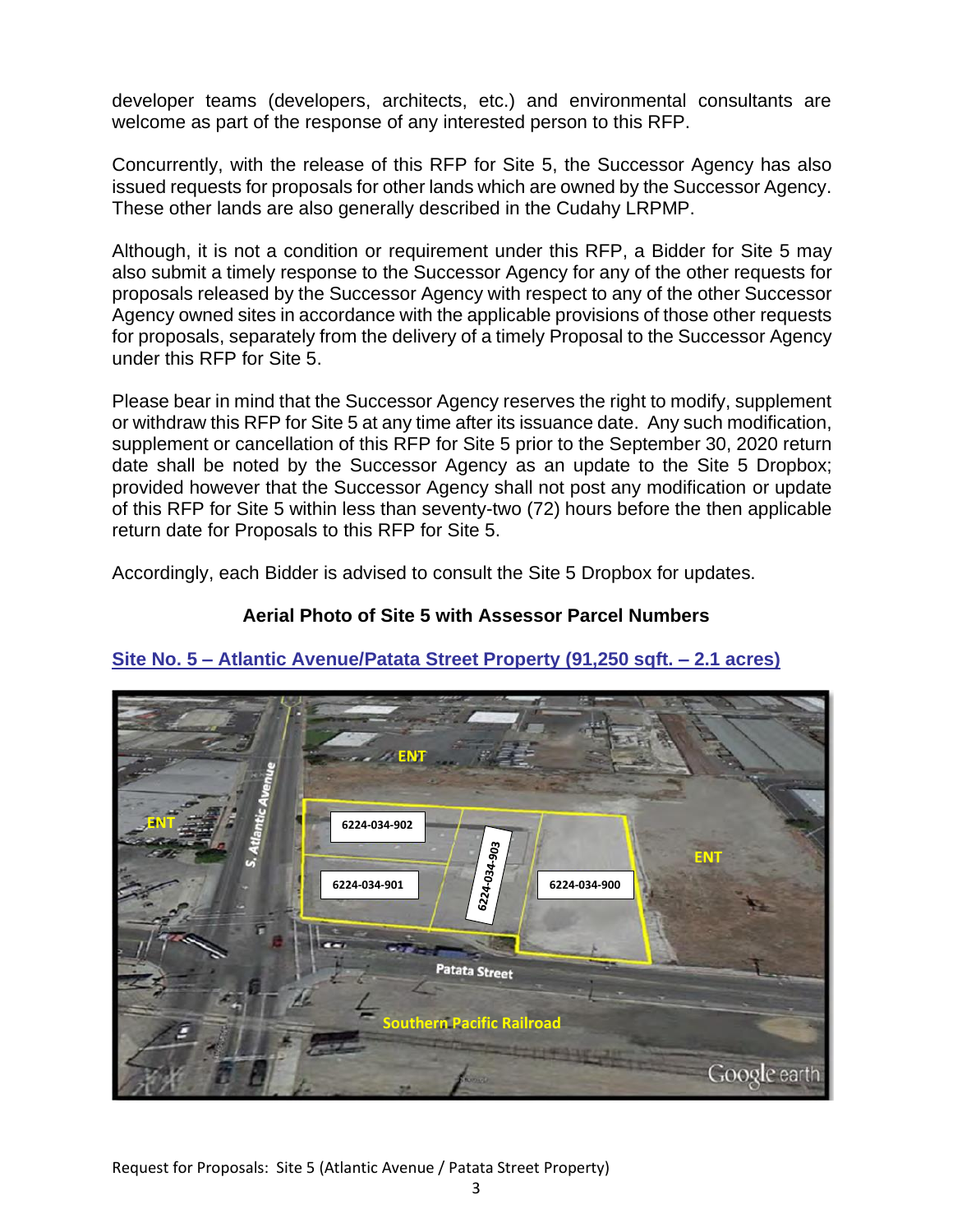developer teams (developers, architects, etc.) and environmental consultants are welcome as part of the response of any interested person to this RFP.

Concurrently, with the release of this RFP for Site 5, the Successor Agency has also issued requests for proposals for other lands which are owned by the Successor Agency. These other lands are also generally described in the Cudahy LRPMP.

Although, it is not a condition or requirement under this RFP, a Bidder for Site 5 may also submit a timely response to the Successor Agency for any of the other requests for proposals released by the Successor Agency with respect to any of the other Successor Agency owned sites in accordance with the applicable provisions of those other requests for proposals, separately from the delivery of a timely Proposal to the Successor Agency under this RFP for Site 5.

Please bear in mind that the Successor Agency reserves the right to modify, supplement or withdraw this RFP for Site 5 at any time after its issuance date. Any such modification, supplement or cancellation of this RFP for Site 5 prior to the September 30, 2020 return date shall be noted by the Successor Agency as an update to the Site 5 Dropbox; provided however that the Successor Agency shall not post any modification or update of this RFP for Site 5 within less than seventy-two (72) hours before the then applicable return date for Proposals to this RFP for Site 5.

Accordingly, each Bidder is advised to consult the Site 5 Dropbox for updates.

## **Aerial Photo of Site 5 with Assessor Parcel Numbers**



# **Site No. 5 – Atlantic Avenue/Patata Street Property (91,250 sqft. – 2.1 acres)**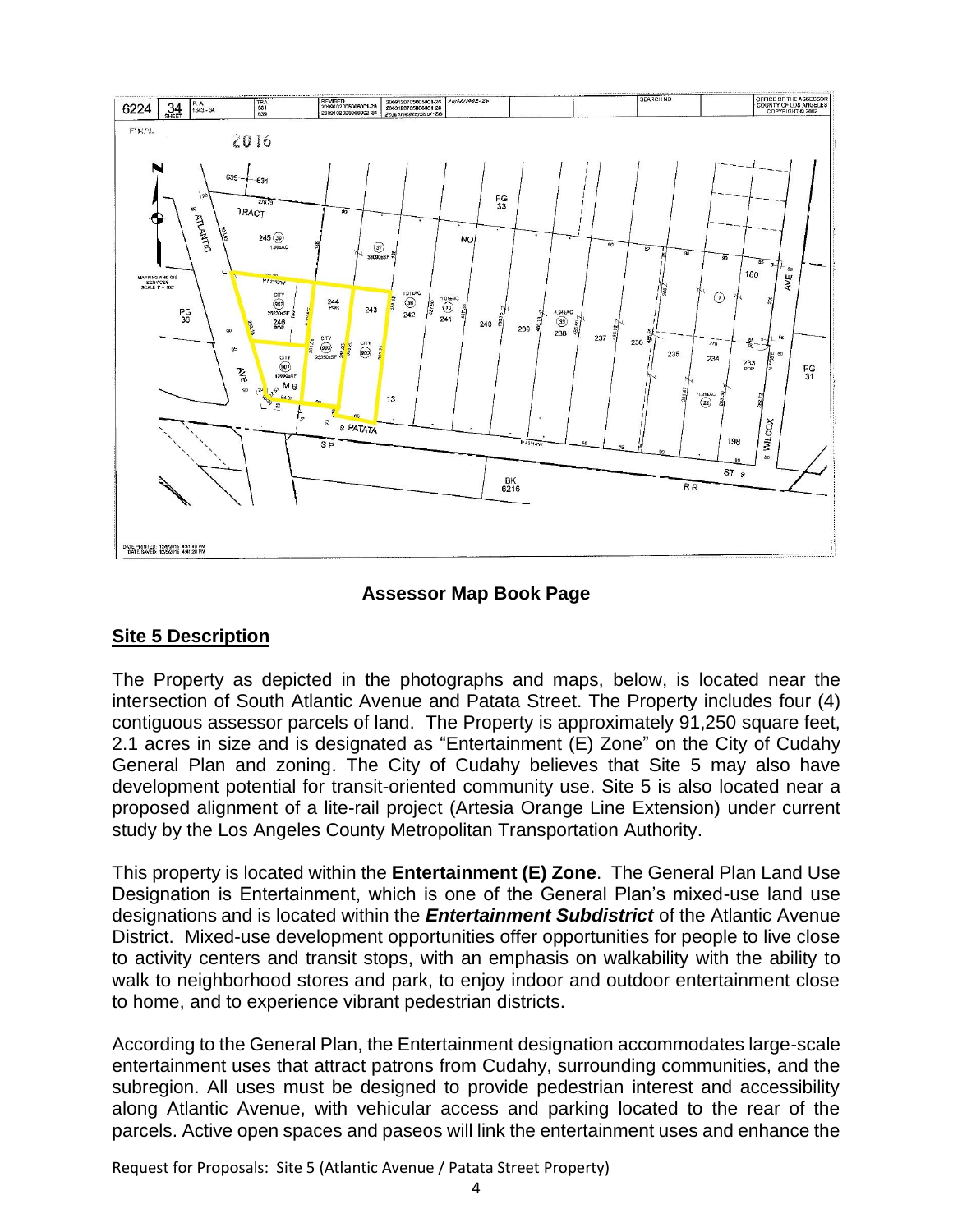

## **Assessor Map Book Page**

#### **Site 5 Description**

The Property as depicted in the photographs and maps, below, is located near the intersection of South Atlantic Avenue and Patata Street. The Property includes four (4) contiguous assessor parcels of land. The Property is approximately 91,250 square feet, 2.1 acres in size and is designated as "Entertainment (E) Zone" on the City of Cudahy General Plan and zoning. The City of Cudahy believes that Site 5 may also have development potential for transit-oriented community use. Site 5 is also located near a proposed alignment of a lite-rail project (Artesia Orange Line Extension) under current study by the Los Angeles County Metropolitan Transportation Authority.

This property is located within the **Entertainment (E) Zone**. The General Plan Land Use Designation is Entertainment, which is one of the General Plan's mixed-use land use designations and is located within the *Entertainment Subdistrict* of the Atlantic Avenue District. Mixed-use development opportunities offer opportunities for people to live close to activity centers and transit stops, with an emphasis on walkability with the ability to walk to neighborhood stores and park, to enjoy indoor and outdoor entertainment close to home, and to experience vibrant pedestrian districts.

According to the General Plan, the Entertainment designation accommodates large-scale entertainment uses that attract patrons from Cudahy, surrounding communities, and the subregion. All uses must be designed to provide pedestrian interest and accessibility along Atlantic Avenue, with vehicular access and parking located to the rear of the parcels. Active open spaces and paseos will link the entertainment uses and enhance the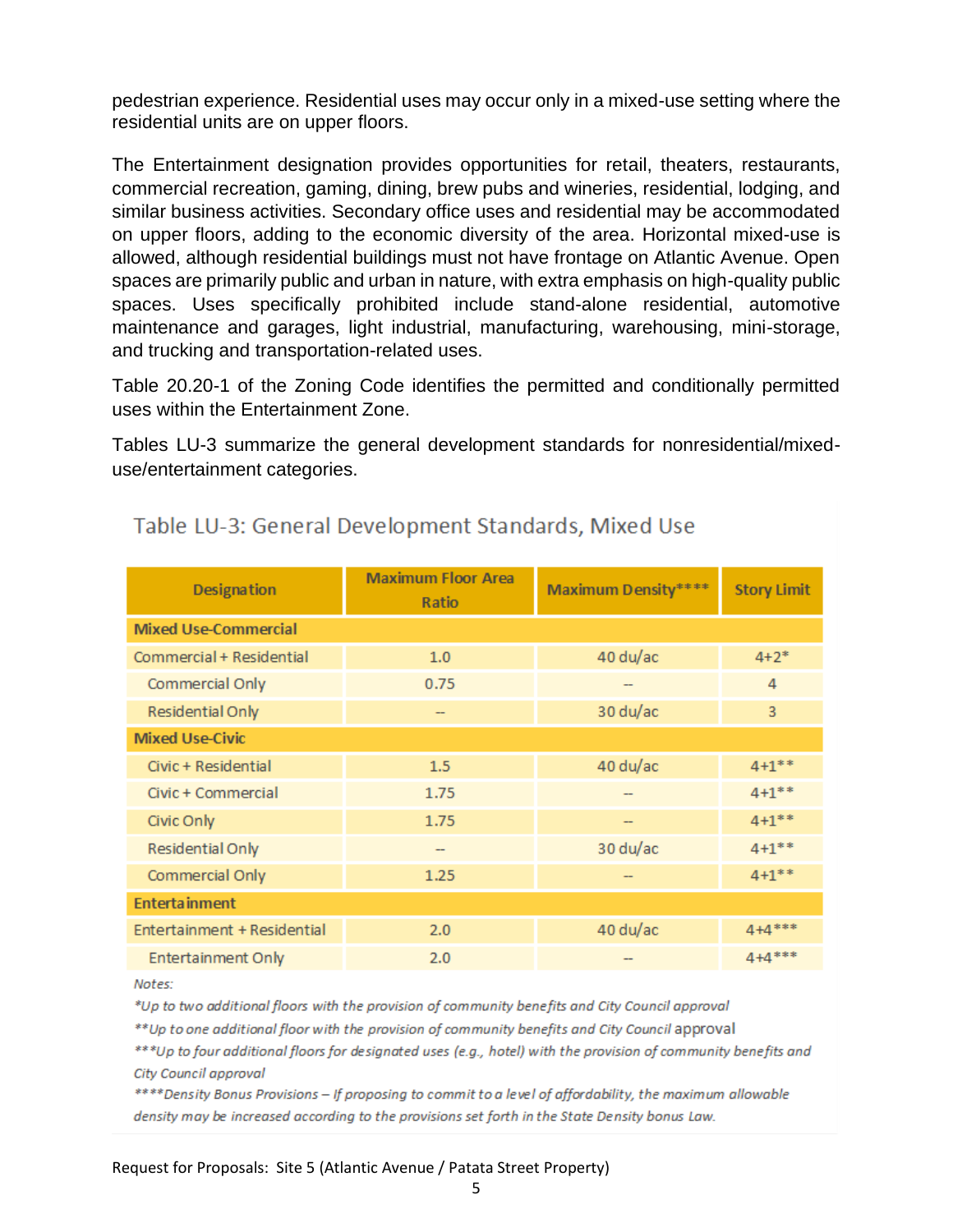pedestrian experience. Residential uses may occur only in a mixed-use setting where the residential units are on upper floors.

The Entertainment designation provides opportunities for retail, theaters, restaurants, commercial recreation, gaming, dining, brew pubs and wineries, residential, lodging, and similar business activities. Secondary office uses and residential may be accommodated on upper floors, adding to the economic diversity of the area. Horizontal mixed-use is allowed, although residential buildings must not have frontage on Atlantic Avenue. Open spaces are primarily public and urban in nature, with extra emphasis on high-quality public spaces. Uses specifically prohibited include stand-alone residential, automotive maintenance and garages, light industrial, manufacturing, warehousing, mini-storage, and trucking and transportation-related uses.

Table 20.20-1 of the Zoning Code identifies the permitted and conditionally permitted uses within the Entertainment Zone.

Tables LU-3 summarize the general development standards for nonresidential/mixeduse/entertainment categories.

| <b>Designation</b>          | <b>Maximum Floor Area</b><br>Ratio | <b>Maximum Density</b> **** | <b>Story Limit</b> |  |  |  |
|-----------------------------|------------------------------------|-----------------------------|--------------------|--|--|--|
| <b>Mixed Use-Commercial</b> |                                    |                             |                    |  |  |  |
| Commercial + Residential    | 1.0                                | 40 du/ac                    | $4 + 2^*$          |  |  |  |
| Commercial Only             | 0.75                               |                             | 4                  |  |  |  |
| Residential Only            | $\qquad \qquad \blacksquare$       | 30 du/ac                    | 3                  |  |  |  |
| <b>Mixed Use-Civic</b>      |                                    |                             |                    |  |  |  |
| Civic + Residential         | 1.5                                | 40 du/ac                    | $4 + 1$ **         |  |  |  |
| Civic + Commercial          | 1.75                               |                             | $4 + 1$ **         |  |  |  |
| Civic Only                  | 1.75                               | $- -$                       | $4 + 1$ **         |  |  |  |
| Residential Only            |                                    | 30 du/ac                    | $4 + 1$ **         |  |  |  |
| Commercial Only             | 1.25                               |                             | $4 + 1$ **         |  |  |  |
| <b>Entertainment</b>        |                                    |                             |                    |  |  |  |
| Entertainment + Residential | 2.0                                | 40 du/ac                    | $4 + 4$ ***        |  |  |  |
| <b>Entertainment Only</b>   | 2.0                                |                             | $4 + 4$ ***        |  |  |  |

# Table LU-3: General Development Standards, Mixed Use

Notes:

\*Up to two additional floors with the provision of community benefits and City Council approval

\*\* Up to one additional floor with the provision of community benefits and City Council approval

\*\*\*Up to four additional floors for designated uses (e.g., hotel) with the provision of community benefits and City Council approval

\*\*\*\*Density Bonus Provisions - If proposing to commit to a level of affordability, the maximum allowable density may be increased according to the provisions set forth in the State Density bonus Law.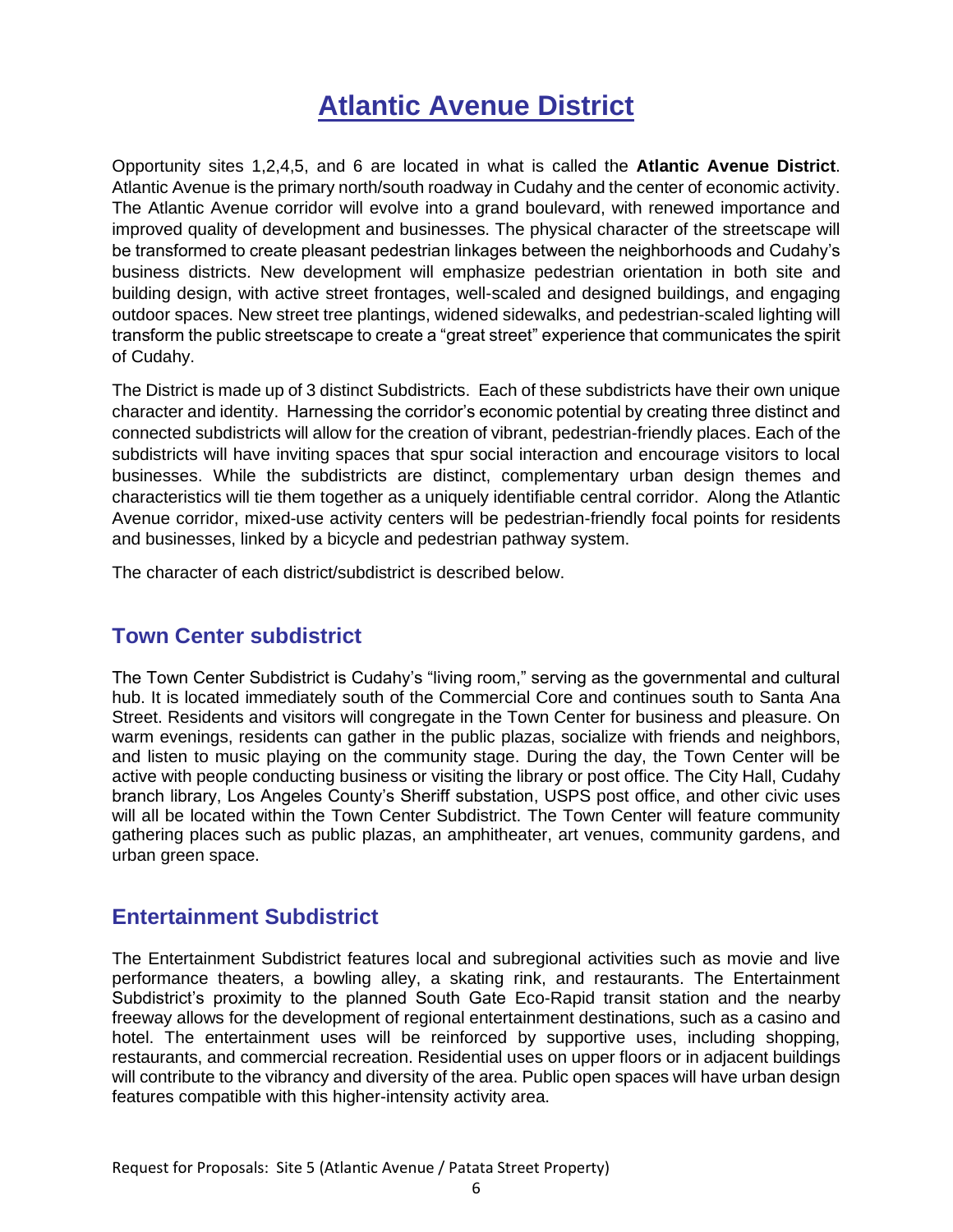# **Atlantic Avenue District**

Opportunity sites 1,2,4,5, and 6 are located in what is called the **Atlantic Avenue District**. Atlantic Avenue is the primary north/south roadway in Cudahy and the center of economic activity. The Atlantic Avenue corridor will evolve into a grand boulevard, with renewed importance and improved quality of development and businesses. The physical character of the streetscape will be transformed to create pleasant pedestrian linkages between the neighborhoods and Cudahy's business districts. New development will emphasize pedestrian orientation in both site and building design, with active street frontages, well-scaled and designed buildings, and engaging outdoor spaces. New street tree plantings, widened sidewalks, and pedestrian-scaled lighting will transform the public streetscape to create a "great street" experience that communicates the spirit of Cudahy.

The District is made up of 3 distinct Subdistricts. Each of these subdistricts have their own unique character and identity. Harnessing the corridor's economic potential by creating three distinct and connected subdistricts will allow for the creation of vibrant, pedestrian-friendly places. Each of the subdistricts will have inviting spaces that spur social interaction and encourage visitors to local businesses. While the subdistricts are distinct, complementary urban design themes and characteristics will tie them together as a uniquely identifiable central corridor. Along the Atlantic Avenue corridor, mixed-use activity centers will be pedestrian-friendly focal points for residents and businesses, linked by a bicycle and pedestrian pathway system.

The character of each district/subdistrict is described below.

# **Town Center subdistrict**

The Town Center Subdistrict is Cudahy's "living room," serving as the governmental and cultural hub. It is located immediately south of the Commercial Core and continues south to Santa Ana Street. Residents and visitors will congregate in the Town Center for business and pleasure. On warm evenings, residents can gather in the public plazas, socialize with friends and neighbors, and listen to music playing on the community stage. During the day, the Town Center will be active with people conducting business or visiting the library or post office. The City Hall, Cudahy branch library, Los Angeles County's Sheriff substation, USPS post office, and other civic uses will all be located within the Town Center Subdistrict. The Town Center will feature community gathering places such as public plazas, an amphitheater, art venues, community gardens, and urban green space.

# **Entertainment Subdistrict**

The Entertainment Subdistrict features local and subregional activities such as movie and live performance theaters, a bowling alley, a skating rink, and restaurants. The Entertainment Subdistrict's proximity to the planned South Gate Eco-Rapid transit station and the nearby freeway allows for the development of regional entertainment destinations, such as a casino and hotel. The entertainment uses will be reinforced by supportive uses, including shopping, restaurants, and commercial recreation. Residential uses on upper floors or in adjacent buildings will contribute to the vibrancy and diversity of the area. Public open spaces will have urban design features compatible with this higher-intensity activity area.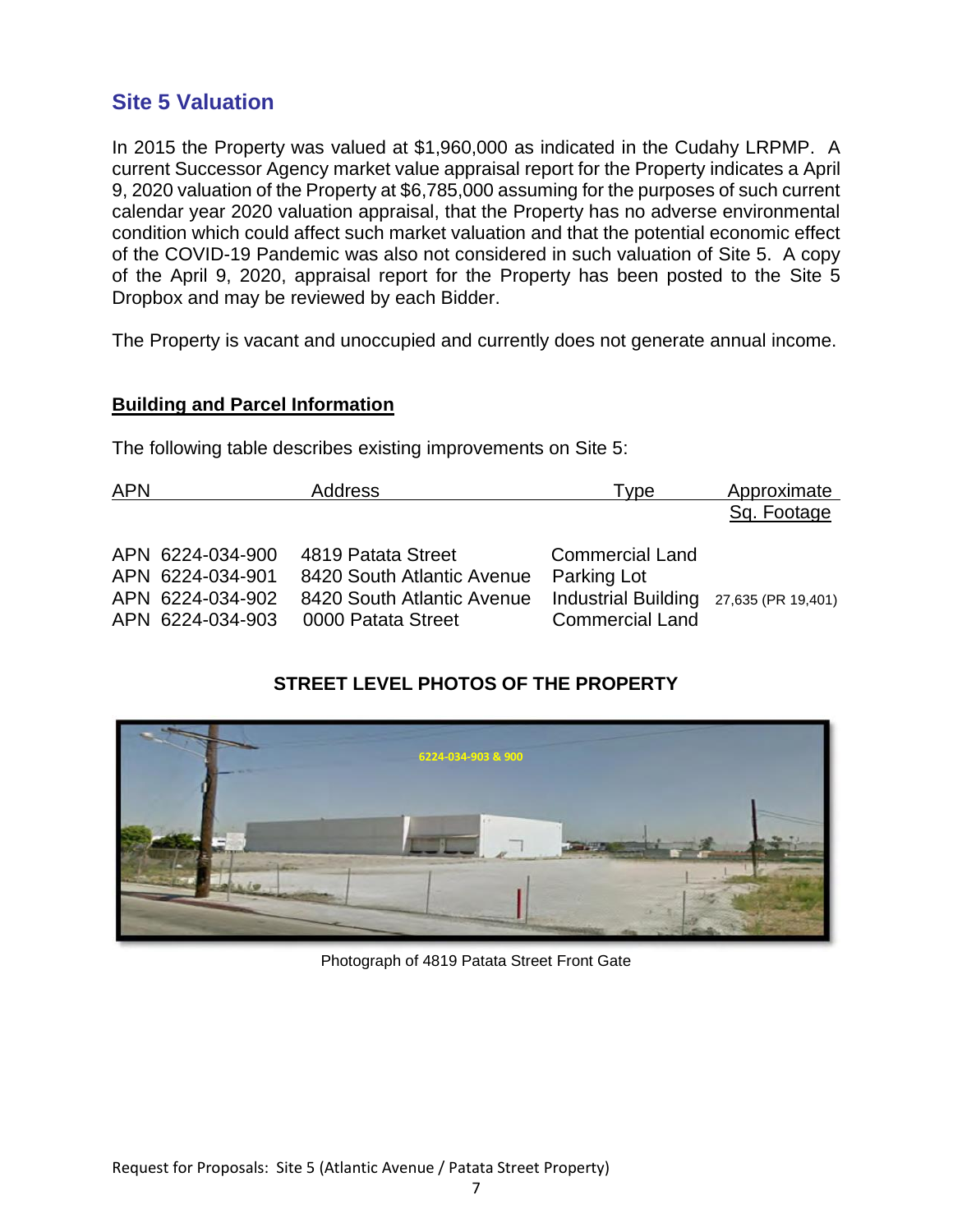# **Site 5 Valuation**

In 2015 the Property was valued at \$1,960,000 as indicated in the Cudahy LRPMP. A current Successor Agency market value appraisal report for the Property indicates a April 9, 2020 valuation of the Property at \$6,785,000 assuming for the purposes of such current calendar year 2020 valuation appraisal, that the Property has no adverse environmental condition which could affect such market valuation and that the potential economic effect of the COVID-19 Pandemic was also not considered in such valuation of Site 5. A copy of the April 9, 2020, appraisal report for the Property has been posted to the Site 5 Dropbox and may be reviewed by each Bidder.

The Property is vacant and unoccupied and currently does not generate annual income.

#### **Building and Parcel Information**

The following table describes existing improvements on Site 5:

| <b>APN</b> |                                                          | <b>Address</b>                                                                 | Type                                                                                   | Approximate |
|------------|----------------------------------------------------------|--------------------------------------------------------------------------------|----------------------------------------------------------------------------------------|-------------|
|            |                                                          |                                                                                |                                                                                        | Sq. Footage |
|            | APN 6224-034-900<br>APN 6224-034-901<br>APN 6224-034-902 | 4819 Patata Street<br>8420 South Atlantic Avenue<br>8420 South Atlantic Avenue | <b>Commercial Land</b><br><b>Parking Lot</b><br>Industrial Building 27,635 (PR 19,401) |             |
|            | APN 6224-034-903                                         | 0000 Patata Street                                                             | <b>Commercial Land</b>                                                                 |             |

# **STREET LEVEL PHOTOS OF THE PROPERTY**



Photograph of 4819 Patata Street Front Gate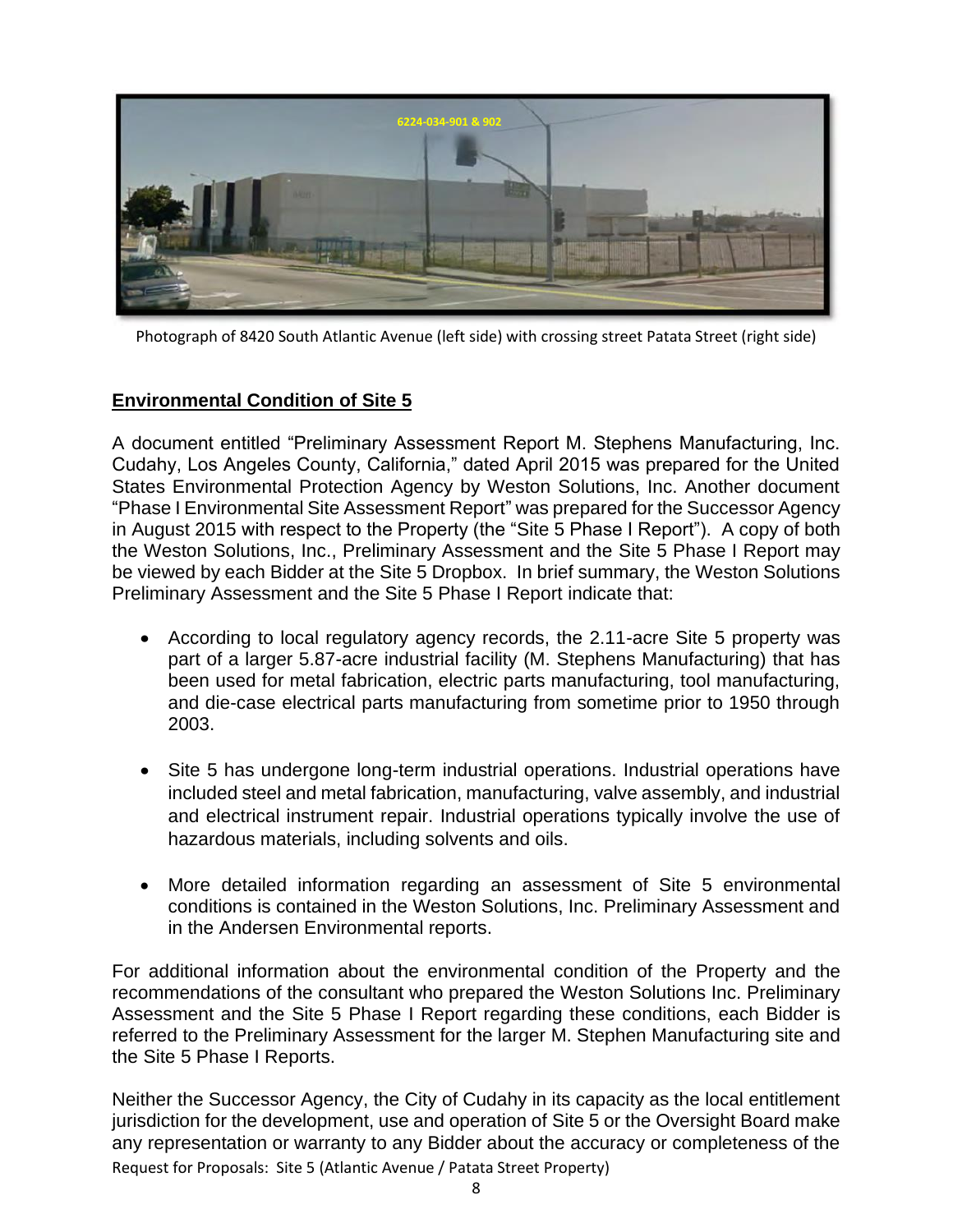

Photograph of 8420 South Atlantic Avenue (left side) with crossing street Patata Street (right side)

## **Environmental Condition of Site 5**

A document entitled "Preliminary Assessment Report M. Stephens Manufacturing, Inc. Cudahy, Los Angeles County, California," dated April 2015 was prepared for the United States Environmental Protection Agency by Weston Solutions, Inc. Another document "Phase I Environmental Site Assessment Report" was prepared for the Successor Agency in August 2015 with respect to the Property (the "Site 5 Phase I Report"). A copy of both the Weston Solutions, Inc., Preliminary Assessment and the Site 5 Phase I Report may be viewed by each Bidder at the Site 5 Dropbox. In brief summary, the Weston Solutions Preliminary Assessment and the Site 5 Phase I Report indicate that:

- According to local regulatory agency records, the 2.11-acre Site 5 property was part of a larger 5.87-acre industrial facility (M. Stephens Manufacturing) that has been used for metal fabrication, electric parts manufacturing, tool manufacturing, and die-case electrical parts manufacturing from sometime prior to 1950 through 2003.
- Site 5 has undergone long-term industrial operations. Industrial operations have included steel and metal fabrication, manufacturing, valve assembly, and industrial and electrical instrument repair. Industrial operations typically involve the use of hazardous materials, including solvents and oils.
- More detailed information regarding an assessment of Site 5 environmental conditions is contained in the Weston Solutions, Inc. Preliminary Assessment and in the Andersen Environmental reports.

For additional information about the environmental condition of the Property and the recommendations of the consultant who prepared the Weston Solutions Inc. Preliminary Assessment and the Site 5 Phase I Report regarding these conditions, each Bidder is referred to the Preliminary Assessment for the larger M. Stephen Manufacturing site and the Site 5 Phase I Reports.

Request for Proposals: Site 5 (Atlantic Avenue / Patata Street Property) Neither the Successor Agency, the City of Cudahy in its capacity as the local entitlement jurisdiction for the development, use and operation of Site 5 or the Oversight Board make any representation or warranty to any Bidder about the accuracy or completeness of the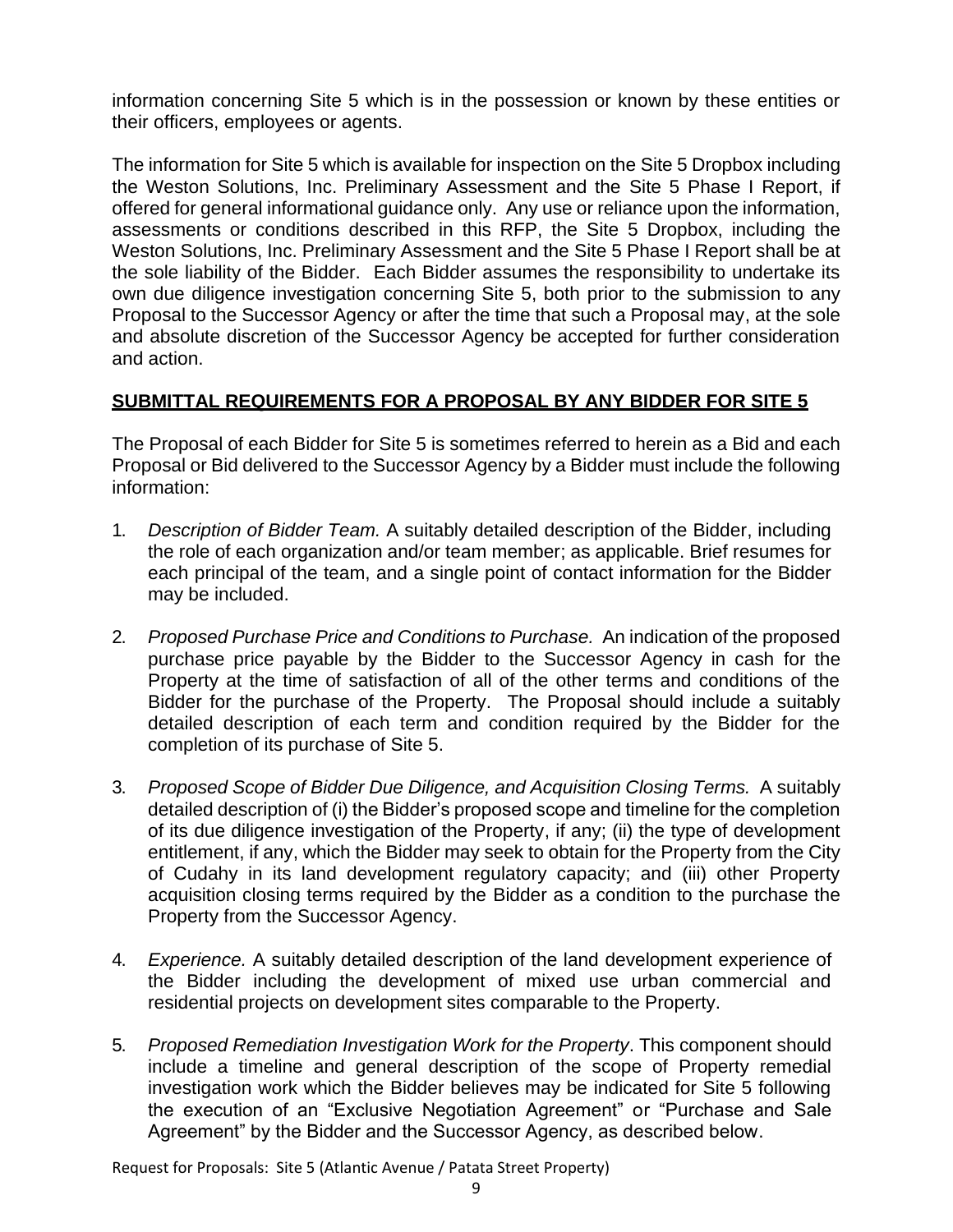information concerning Site 5 which is in the possession or known by these entities or their officers, employees or agents.

The information for Site 5 which is available for inspection on the Site 5 Dropbox including the Weston Solutions, Inc. Preliminary Assessment and the Site 5 Phase I Report, if offered for general informational guidance only. Any use or reliance upon the information, assessments or conditions described in this RFP, the Site 5 Dropbox, including the Weston Solutions, Inc. Preliminary Assessment and the Site 5 Phase I Report shall be at the sole liability of the Bidder. Each Bidder assumes the responsibility to undertake its own due diligence investigation concerning Site 5, both prior to the submission to any Proposal to the Successor Agency or after the time that such a Proposal may, at the sole and absolute discretion of the Successor Agency be accepted for further consideration and action.

# **SUBMITTAL REQUIREMENTS FOR A PROPOSAL BY ANY BIDDER FOR SITE 5**

The Proposal of each Bidder for Site 5 is sometimes referred to herein as a Bid and each Proposal or Bid delivered to the Successor Agency by a Bidder must include the following information:

- 1. *Description of Bidder Team.* A suitably detailed description of the Bidder, including the role of each organization and/or team member; as applicable. Brief resumes for each principal of the team, and a single point of contact information for the Bidder may be included.
- 2. *Proposed Purchase Price and Conditions to Purchase.* An indication of the proposed purchase price payable by the Bidder to the Successor Agency in cash for the Property at the time of satisfaction of all of the other terms and conditions of the Bidder for the purchase of the Property. The Proposal should include a suitably detailed description of each term and condition required by the Bidder for the completion of its purchase of Site 5.
- 3. *Proposed Scope of Bidder Due Diligence, and Acquisition Closing Terms.* A suitably detailed description of (i) the Bidder's proposed scope and timeline for the completion of its due diligence investigation of the Property, if any; (ii) the type of development entitlement, if any, which the Bidder may seek to obtain for the Property from the City of Cudahy in its land development regulatory capacity; and (iii) other Property acquisition closing terms required by the Bidder as a condition to the purchase the Property from the Successor Agency.
- 4. *Experience.* A suitably detailed description of the land development experience of the Bidder including the development of mixed use urban commercial and residential projects on development sites comparable to the Property.
- 5. *Proposed Remediation Investigation Work for the Property*. This component should include a timeline and general description of the scope of Property remedial investigation work which the Bidder believes may be indicated for Site 5 following the execution of an "Exclusive Negotiation Agreement" or "Purchase and Sale Agreement" by the Bidder and the Successor Agency, as described below.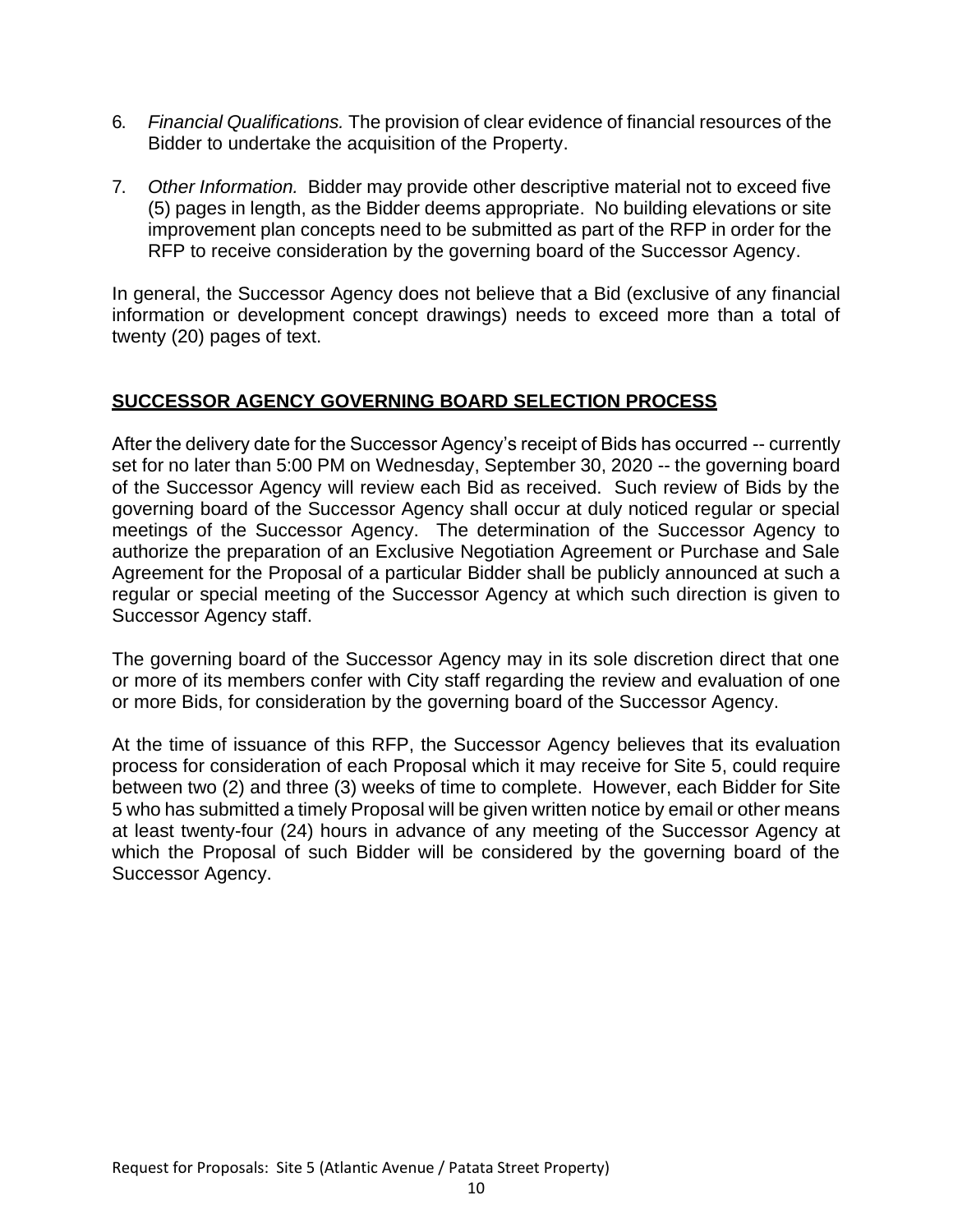- 6. *Financial Qualifications.* The provision of clear evidence of financial resources of the Bidder to undertake the acquisition of the Property.
- 7. *Other Information.* Bidder may provide other descriptive material not to exceed five (5) pages in length, as the Bidder deems appropriate. No building elevations or site improvement plan concepts need to be submitted as part of the RFP in order for the RFP to receive consideration by the governing board of the Successor Agency.

In general, the Successor Agency does not believe that a Bid (exclusive of any financial information or development concept drawings) needs to exceed more than a total of twenty (20) pages of text.

# **SUCCESSOR AGENCY GOVERNING BOARD SELECTION PROCESS**

After the delivery date for the Successor Agency's receipt of Bids has occurred -- currently set for no later than 5:00 PM on Wednesday, September 30, 2020 -- the governing board of the Successor Agency will review each Bid as received. Such review of Bids by the governing board of the Successor Agency shall occur at duly noticed regular or special meetings of the Successor Agency. The determination of the Successor Agency to authorize the preparation of an Exclusive Negotiation Agreement or Purchase and Sale Agreement for the Proposal of a particular Bidder shall be publicly announced at such a regular or special meeting of the Successor Agency at which such direction is given to Successor Agency staff.

The governing board of the Successor Agency may in its sole discretion direct that one or more of its members confer with City staff regarding the review and evaluation of one or more Bids, for consideration by the governing board of the Successor Agency.

At the time of issuance of this RFP, the Successor Agency believes that its evaluation process for consideration of each Proposal which it may receive for Site 5, could require between two (2) and three (3) weeks of time to complete. However, each Bidder for Site 5 who has submitted a timely Proposal will be given written notice by email or other means at least twenty-four (24) hours in advance of any meeting of the Successor Agency at which the Proposal of such Bidder will be considered by the governing board of the Successor Agency.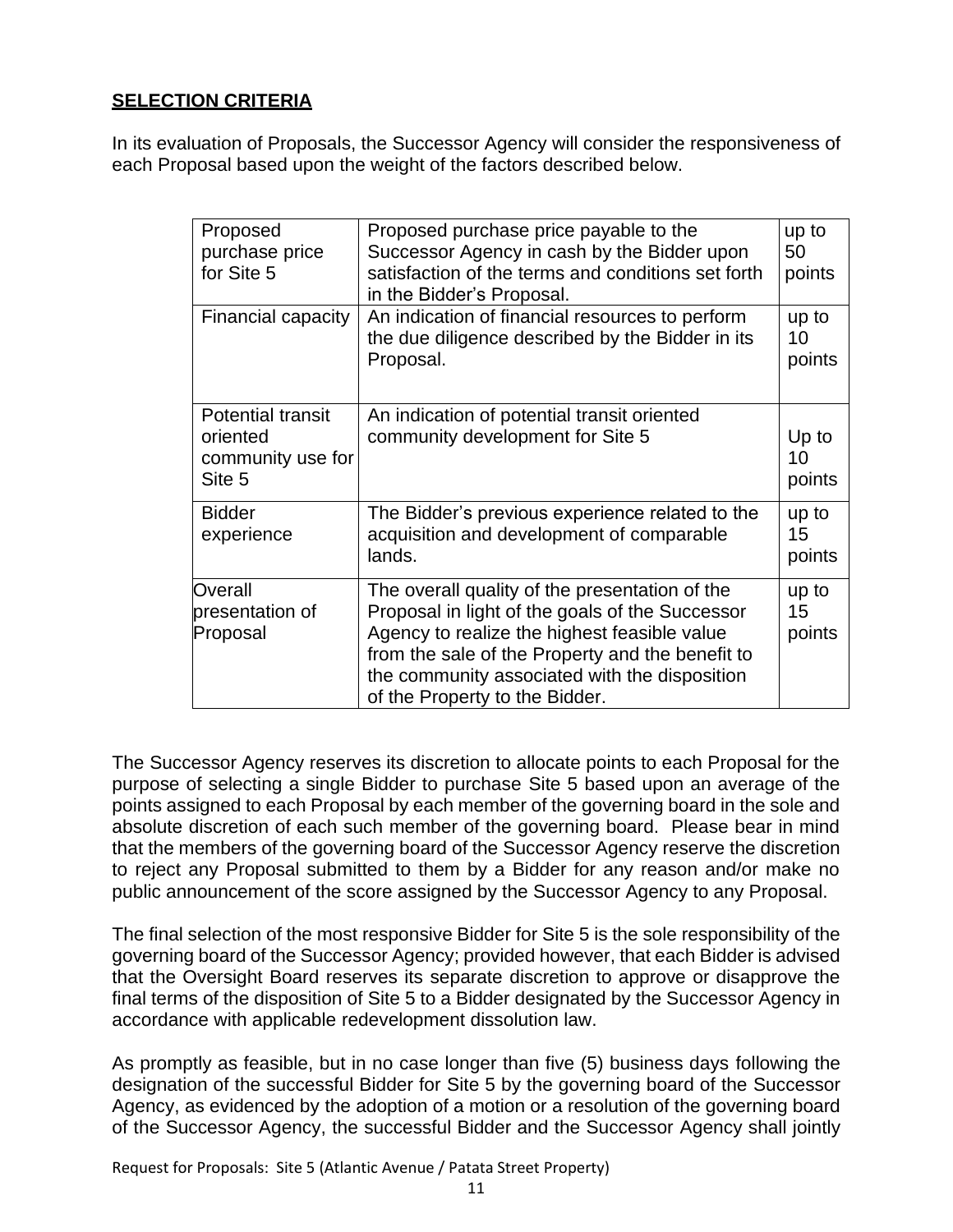# **SELECTION CRITERIA**

In its evaluation of Proposals, the Successor Agency will consider the responsiveness of each Proposal based upon the weight of the factors described below.

| Proposed<br>purchase price<br>for Site 5                            | Proposed purchase price payable to the<br>Successor Agency in cash by the Bidder upon<br>satisfaction of the terms and conditions set forth<br>in the Bidder's Proposal.                                                                                                                 | up to<br>50<br>points     |
|---------------------------------------------------------------------|------------------------------------------------------------------------------------------------------------------------------------------------------------------------------------------------------------------------------------------------------------------------------------------|---------------------------|
| Financial capacity                                                  | An indication of financial resources to perform<br>the due diligence described by the Bidder in its<br>Proposal.                                                                                                                                                                         | up to<br>10<br>points     |
| <b>Potential transit</b><br>oriented<br>community use for<br>Site 5 | An indication of potential transit oriented<br>community development for Site 5                                                                                                                                                                                                          | Up to<br>10<br>points     |
| <b>Bidder</b><br>experience                                         | The Bidder's previous experience related to the<br>acquisition and development of comparable<br>lands.                                                                                                                                                                                   | up to<br>15<br>points     |
| Overall<br>presentation of<br>Proposal                              | The overall quality of the presentation of the<br>Proposal in light of the goals of the Successor<br>Agency to realize the highest feasible value<br>from the sale of the Property and the benefit to<br>the community associated with the disposition<br>of the Property to the Bidder. | up to<br>$15\,$<br>points |

The Successor Agency reserves its discretion to allocate points to each Proposal for the purpose of selecting a single Bidder to purchase Site 5 based upon an average of the points assigned to each Proposal by each member of the governing board in the sole and absolute discretion of each such member of the governing board. Please bear in mind that the members of the governing board of the Successor Agency reserve the discretion to reject any Proposal submitted to them by a Bidder for any reason and/or make no public announcement of the score assigned by the Successor Agency to any Proposal.

The final selection of the most responsive Bidder for Site 5 is the sole responsibility of the governing board of the Successor Agency; provided however, that each Bidder is advised that the Oversight Board reserves its separate discretion to approve or disapprove the final terms of the disposition of Site 5 to a Bidder designated by the Successor Agency in accordance with applicable redevelopment dissolution law.

As promptly as feasible, but in no case longer than five (5) business days following the designation of the successful Bidder for Site 5 by the governing board of the Successor Agency, as evidenced by the adoption of a motion or a resolution of the governing board of the Successor Agency, the successful Bidder and the Successor Agency shall jointly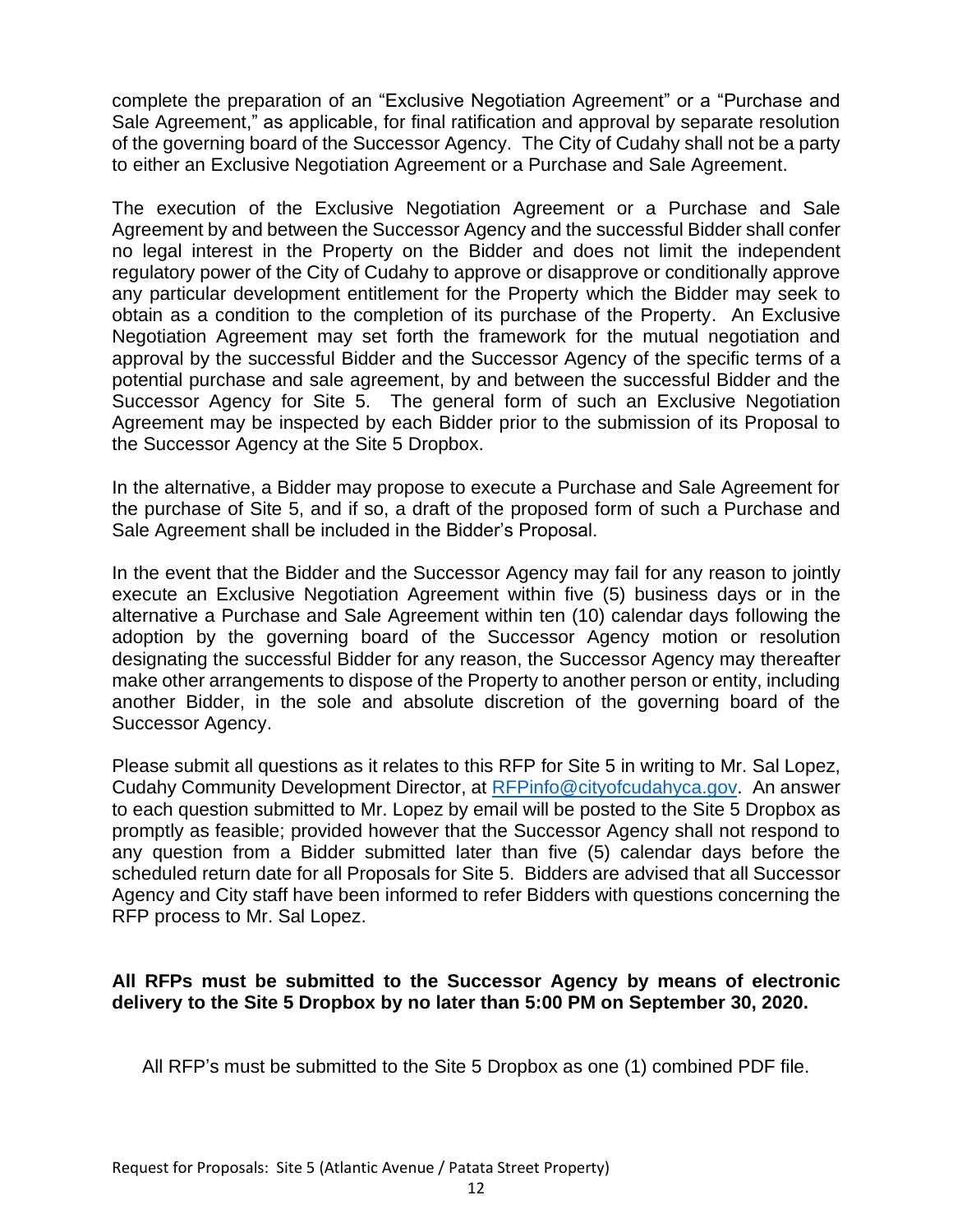complete the preparation of an "Exclusive Negotiation Agreement" or a "Purchase and Sale Agreement," as applicable, for final ratification and approval by separate resolution of the governing board of the Successor Agency. The City of Cudahy shall not be a party to either an Exclusive Negotiation Agreement or a Purchase and Sale Agreement.

The execution of the Exclusive Negotiation Agreement or a Purchase and Sale Agreement by and between the Successor Agency and the successful Bidder shall confer no legal interest in the Property on the Bidder and does not limit the independent regulatory power of the City of Cudahy to approve or disapprove or conditionally approve any particular development entitlement for the Property which the Bidder may seek to obtain as a condition to the completion of its purchase of the Property. An Exclusive Negotiation Agreement may set forth the framework for the mutual negotiation and approval by the successful Bidder and the Successor Agency of the specific terms of a potential purchase and sale agreement, by and between the successful Bidder and the Successor Agency for Site 5. The general form of such an Exclusive Negotiation Agreement may be inspected by each Bidder prior to the submission of its Proposal to the Successor Agency at the Site 5 Dropbox.

In the alternative, a Bidder may propose to execute a Purchase and Sale Agreement for the purchase of Site 5, and if so, a draft of the proposed form of such a Purchase and Sale Agreement shall be included in the Bidder's Proposal.

In the event that the Bidder and the Successor Agency may fail for any reason to jointly execute an Exclusive Negotiation Agreement within five (5) business days or in the alternative a Purchase and Sale Agreement within ten (10) calendar days following the adoption by the governing board of the Successor Agency motion or resolution designating the successful Bidder for any reason, the Successor Agency may thereafter make other arrangements to dispose of the Property to another person or entity, including another Bidder, in the sole and absolute discretion of the governing board of the Successor Agency.

Please submit all questions as it relates to this RFP for Site 5 in writing to Mr. Sal Lopez, Cudahy Community Development Director, at [RFPinfo@cityofcudahyca.gov.](mailto:RFPinfo@cityofcudahyca.gov) An answer to each question submitted to Mr. Lopez by email will be posted to the Site 5 Dropbox as promptly as feasible; provided however that the Successor Agency shall not respond to any question from a Bidder submitted later than five (5) calendar days before the scheduled return date for all Proposals for Site 5. Bidders are advised that all Successor Agency and City staff have been informed to refer Bidders with questions concerning the RFP process to Mr. Sal Lopez.

## **All RFPs must be submitted to the Successor Agency by means of electronic delivery to the Site 5 Dropbox by no later than 5:00 PM on September 30, 2020.**

All RFP's must be submitted to the Site 5 Dropbox as one (1) combined PDF file.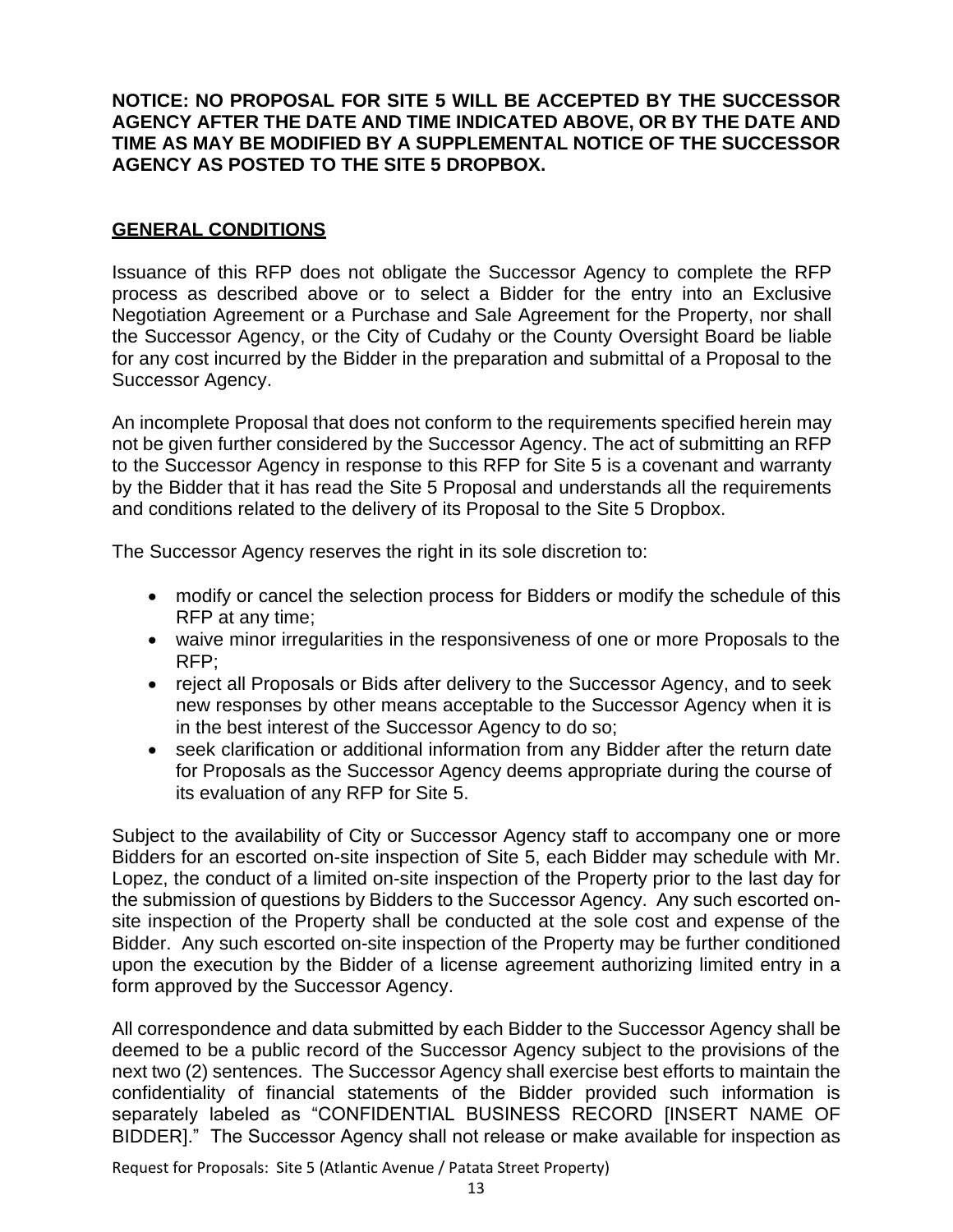**NOTICE: NO PROPOSAL FOR SITE 5 WILL BE ACCEPTED BY THE SUCCESSOR AGENCY AFTER THE DATE AND TIME INDICATED ABOVE, OR BY THE DATE AND TIME AS MAY BE MODIFIED BY A SUPPLEMENTAL NOTICE OF THE SUCCESSOR AGENCY AS POSTED TO THE SITE 5 DROPBOX.**

#### **GENERAL CONDITIONS**

Issuance of this RFP does not obligate the Successor Agency to complete the RFP process as described above or to select a Bidder for the entry into an Exclusive Negotiation Agreement or a Purchase and Sale Agreement for the Property, nor shall the Successor Agency, or the City of Cudahy or the County Oversight Board be liable for any cost incurred by the Bidder in the preparation and submittal of a Proposal to the Successor Agency.

An incomplete Proposal that does not conform to the requirements specified herein may not be given further considered by the Successor Agency. The act of submitting an RFP to the Successor Agency in response to this RFP for Site 5 is a covenant and warranty by the Bidder that it has read the Site 5 Proposal and understands all the requirements and conditions related to the delivery of its Proposal to the Site 5 Dropbox.

The Successor Agency reserves the right in its sole discretion to:

- modify or cancel the selection process for Bidders or modify the schedule of this RFP at any time;
- waive minor irregularities in the responsiveness of one or more Proposals to the RFP;
- reject all Proposals or Bids after delivery to the Successor Agency, and to seek new responses by other means acceptable to the Successor Agency when it is in the best interest of the Successor Agency to do so;
- seek clarification or additional information from any Bidder after the return date for Proposals as the Successor Agency deems appropriate during the course of its evaluation of any RFP for Site 5.

Subject to the availability of City or Successor Agency staff to accompany one or more Bidders for an escorted on-site inspection of Site 5, each Bidder may schedule with Mr. Lopez, the conduct of a limited on-site inspection of the Property prior to the last day for the submission of questions by Bidders to the Successor Agency. Any such escorted onsite inspection of the Property shall be conducted at the sole cost and expense of the Bidder. Any such escorted on-site inspection of the Property may be further conditioned upon the execution by the Bidder of a license agreement authorizing limited entry in a form approved by the Successor Agency.

All correspondence and data submitted by each Bidder to the Successor Agency shall be deemed to be a public record of the Successor Agency subject to the provisions of the next two (2) sentences. The Successor Agency shall exercise best efforts to maintain the confidentiality of financial statements of the Bidder provided such information is separately labeled as "CONFIDENTIAL BUSINESS RECORD [INSERT NAME OF BIDDER]." The Successor Agency shall not release or make available for inspection as